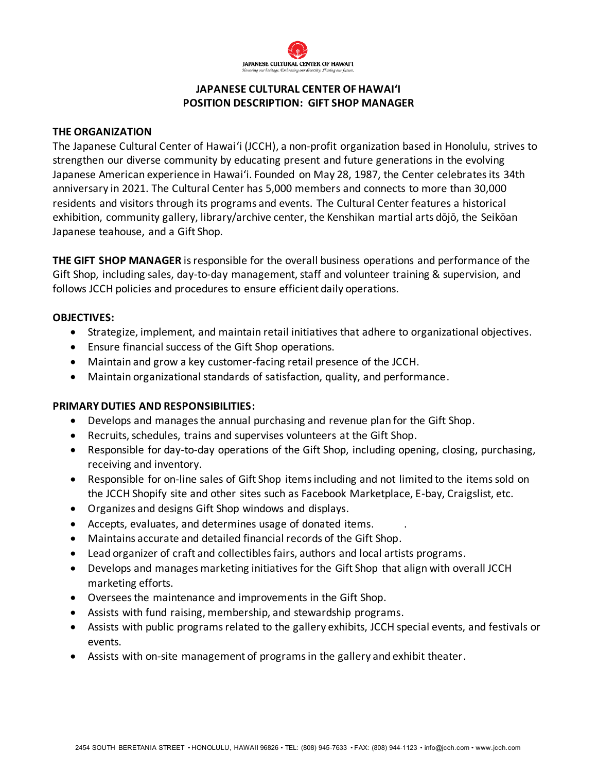

# **JAPANESE CULTURAL CENTER OF HAWAI'I POSITION DESCRIPTION: GIFT SHOP MANAGER**

## **THE ORGANIZATION**

The Japanese Cultural Center of Hawaiʻi (JCCH), a non-profit organization based in Honolulu, strives to strengthen our diverse community by educating present and future generations in the evolving Japanese American experience in Hawai'i. Founded on May 28, 1987, the Center celebrates its 34th anniversary in 2021. The Cultural Center has 5,000 members and connects to more than 30,000 residents and visitors through its programs and events. The Cultural Center features a historical exhibition, community gallery, library/archive center, the Kenshikan martial arts dōjō, the Seikōan Japanese teahouse, and a Gift Shop.

**THE GIFT SHOP MANAGER** is responsible for the overall business operations and performance of the Gift Shop, including sales, day-to-day management, staff and volunteer training & supervision, and follows JCCH policies and procedures to ensure efficient daily operations.

## **OBJECTIVES:**

- Strategize, implement, and maintain retail initiatives that adhere to organizational objectives.
- Ensure financial success of the Gift Shop operations.
- Maintain and grow a key customer-facing retail presence of the JCCH.
- Maintain organizational standards of satisfaction, quality, and performance.

# **PRIMARY DUTIES AND RESPONSIBILITIES:**

- Develops and manages the annual purchasing and revenue plan for the Gift Shop.
- Recruits, schedules, trains and supervises volunteers at the Gift Shop.
- Responsible for day-to-day operations of the Gift Shop, including opening, closing, purchasing, receiving and inventory.
- Responsible for on-line sales of Gift Shop items including and not limited to the items sold on the JCCH Shopify site and other sites such as Facebook Marketplace, E-bay, Craigslist, etc.
- Organizes and designs Gift Shop windows and displays.
- Accepts, evaluates, and determines usage of donated items. .
- Maintains accurate and detailed financial records of the Gift Shop.
- Lead organizer of craft and collectibles fairs, authors and local artists programs.
- Develops and manages marketing initiatives for the Gift Shop that align with overall JCCH marketing efforts.
- Oversees the maintenance and improvements in the Gift Shop.
- Assists with fund raising, membership, and stewardship programs.
- Assists with public programs related to the gallery exhibits, JCCH special events, and festivals or events.
- Assists with on-site management of programs in the gallery and exhibit theater.